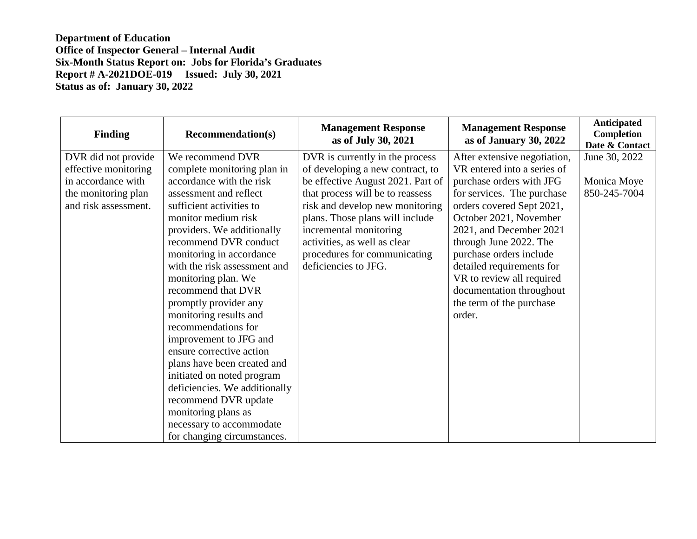| Finding              | <b>Recommendation(s)</b>      | <b>Management Response</b><br>as of July 30, 2021 | <b>Management Response</b><br>as of January 30, 2022 | <b>Anticipated</b><br>Completion<br>Date & Contact |
|----------------------|-------------------------------|---------------------------------------------------|------------------------------------------------------|----------------------------------------------------|
| DVR did not provide  | We recommend DVR              | DVR is currently in the process                   | After extensive negotiation,                         | June 30, 2022                                      |
| effective monitoring | complete monitoring plan in   | of developing a new contract, to                  | VR entered into a series of                          |                                                    |
| in accordance with   | accordance with the risk      | be effective August 2021. Part of                 | purchase orders with JFG                             | Monica Moye                                        |
| the monitoring plan  | assessment and reflect        | that process will be to reassess                  | for services. The purchase                           | 850-245-7004                                       |
| and risk assessment. | sufficient activities to      | risk and develop new monitoring                   | orders covered Sept 2021,                            |                                                    |
|                      | monitor medium risk           | plans. Those plans will include                   | October 2021, November                               |                                                    |
|                      | providers. We additionally    | incremental monitoring                            | 2021, and December 2021                              |                                                    |
|                      | recommend DVR conduct         | activities, as well as clear                      | through June 2022. The                               |                                                    |
|                      | monitoring in accordance      | procedures for communicating                      | purchase orders include                              |                                                    |
|                      | with the risk assessment and  | deficiencies to JFG.                              | detailed requirements for                            |                                                    |
|                      | monitoring plan. We           |                                                   | VR to review all required                            |                                                    |
|                      | recommend that DVR            |                                                   | documentation throughout                             |                                                    |
|                      | promptly provider any         |                                                   | the term of the purchase                             |                                                    |
|                      | monitoring results and        |                                                   | order.                                               |                                                    |
|                      | recommendations for           |                                                   |                                                      |                                                    |
|                      | improvement to JFG and        |                                                   |                                                      |                                                    |
|                      | ensure corrective action      |                                                   |                                                      |                                                    |
|                      | plans have been created and   |                                                   |                                                      |                                                    |
|                      | initiated on noted program    |                                                   |                                                      |                                                    |
|                      | deficiencies. We additionally |                                                   |                                                      |                                                    |
|                      | recommend DVR update          |                                                   |                                                      |                                                    |
|                      | monitoring plans as           |                                                   |                                                      |                                                    |
|                      | necessary to accommodate      |                                                   |                                                      |                                                    |
|                      | for changing circumstances.   |                                                   |                                                      |                                                    |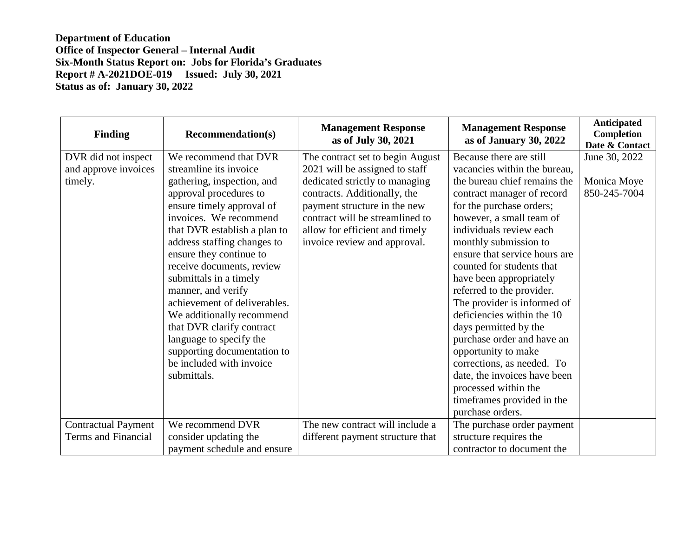| <b>Finding</b>             | <b>Recommendation(s)</b>     | <b>Management Response</b><br>as of July 30, 2021 | <b>Management Response</b><br>as of January 30, 2022 | <b>Anticipated</b><br><b>Completion</b><br>Date & Contact |
|----------------------------|------------------------------|---------------------------------------------------|------------------------------------------------------|-----------------------------------------------------------|
| DVR did not inspect        | We recommend that DVR        | The contract set to begin August                  | Because there are still                              | June 30, 2022                                             |
| and approve invoices       | streamline its invoice       | 2021 will be assigned to staff                    | vacancies within the bureau,                         |                                                           |
| timely.                    | gathering, inspection, and   | dedicated strictly to managing                    | the bureau chief remains the                         | Monica Moye                                               |
|                            | approval procedures to       | contracts. Additionally, the                      | contract manager of record                           | 850-245-7004                                              |
|                            | ensure timely approval of    | payment structure in the new                      | for the purchase orders;                             |                                                           |
|                            | invoices. We recommend       | contract will be streamlined to                   | however, a small team of                             |                                                           |
|                            | that DVR establish a plan to | allow for efficient and timely                    | individuals review each                              |                                                           |
|                            | address staffing changes to  | invoice review and approval.                      | monthly submission to                                |                                                           |
|                            | ensure they continue to      |                                                   | ensure that service hours are                        |                                                           |
|                            | receive documents, review    |                                                   | counted for students that                            |                                                           |
|                            | submittals in a timely       |                                                   | have been appropriately                              |                                                           |
|                            | manner, and verify           |                                                   | referred to the provider.                            |                                                           |
|                            | achievement of deliverables. |                                                   | The provider is informed of                          |                                                           |
|                            | We additionally recommend    |                                                   | deficiencies within the 10                           |                                                           |
|                            | that DVR clarify contract    |                                                   | days permitted by the                                |                                                           |
|                            | language to specify the      |                                                   | purchase order and have an                           |                                                           |
|                            | supporting documentation to  |                                                   | opportunity to make                                  |                                                           |
|                            | be included with invoice     |                                                   | corrections, as needed. To                           |                                                           |
|                            | submittals.                  |                                                   | date, the invoices have been                         |                                                           |
|                            |                              |                                                   | processed within the                                 |                                                           |
|                            |                              |                                                   | timeframes provided in the                           |                                                           |
|                            |                              |                                                   | purchase orders.                                     |                                                           |
| <b>Contractual Payment</b> | We recommend DVR             | The new contract will include a                   | The purchase order payment                           |                                                           |
| <b>Terms and Financial</b> | consider updating the        | different payment structure that                  | structure requires the                               |                                                           |
|                            | payment schedule and ensure  |                                                   | contractor to document the                           |                                                           |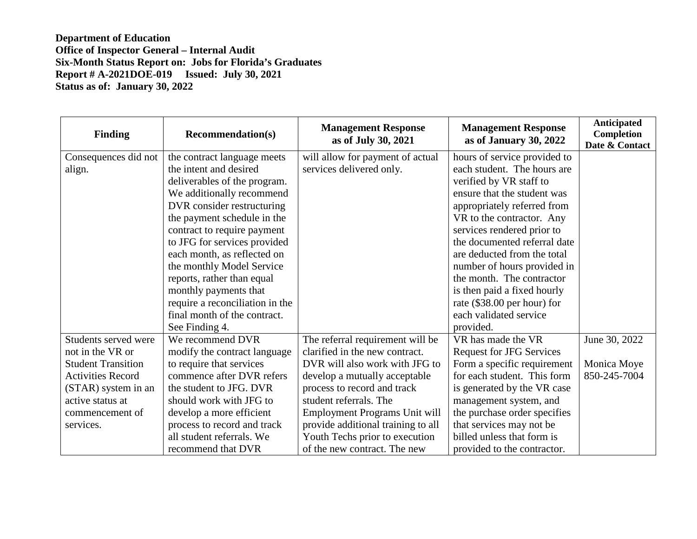| <b>Finding</b>            | <b>Recommendation(s)</b>        | <b>Management Response</b><br>as of July 30, 2021 | <b>Management Response</b><br>as of January 30, 2022 | <b>Anticipated</b><br><b>Completion</b><br>Date & Contact |
|---------------------------|---------------------------------|---------------------------------------------------|------------------------------------------------------|-----------------------------------------------------------|
| Consequences did not      | the contract language meets     | will allow for payment of actual                  | hours of service provided to                         |                                                           |
| align.                    | the intent and desired          | services delivered only.                          | each student. The hours are                          |                                                           |
|                           | deliverables of the program.    |                                                   | verified by VR staff to                              |                                                           |
|                           | We additionally recommend       |                                                   | ensure that the student was                          |                                                           |
|                           | DVR consider restructuring      |                                                   | appropriately referred from                          |                                                           |
|                           | the payment schedule in the     |                                                   | VR to the contractor. Any                            |                                                           |
|                           | contract to require payment     |                                                   | services rendered prior to                           |                                                           |
|                           | to JFG for services provided    |                                                   | the documented referral date                         |                                                           |
|                           | each month, as reflected on     |                                                   | are deducted from the total                          |                                                           |
|                           | the monthly Model Service       |                                                   | number of hours provided in                          |                                                           |
|                           | reports, rather than equal      |                                                   | the month. The contractor                            |                                                           |
|                           | monthly payments that           |                                                   | is then paid a fixed hourly                          |                                                           |
|                           | require a reconciliation in the |                                                   | rate (\$38.00 per hour) for                          |                                                           |
|                           | final month of the contract.    |                                                   | each validated service                               |                                                           |
|                           | See Finding 4.                  |                                                   | provided.                                            |                                                           |
| Students served were      | We recommend DVR                | The referral requirement will be                  | VR has made the VR                                   | June 30, 2022                                             |
| not in the VR or          | modify the contract language    | clarified in the new contract.                    | <b>Request for JFG Services</b>                      |                                                           |
| <b>Student Transition</b> | to require that services        | DVR will also work with JFG to                    | Form a specific requirement                          | Monica Moye                                               |
| <b>Activities Record</b>  | commence after DVR refers       | develop a mutually acceptable                     | for each student. This form                          | 850-245-7004                                              |
| (STAR) system in an       | the student to JFG. DVR         | process to record and track                       | is generated by the VR case                          |                                                           |
| active status at          | should work with JFG to         | student referrals. The                            | management system, and                               |                                                           |
| commencement of           | develop a more efficient        | Employment Programs Unit will                     | the purchase order specifies                         |                                                           |
| services.                 | process to record and track     | provide additional training to all                | that services may not be                             |                                                           |
|                           | all student referrals. We       | Youth Techs prior to execution                    | billed unless that form is                           |                                                           |
|                           | recommend that DVR              | of the new contract. The new                      | provided to the contractor.                          |                                                           |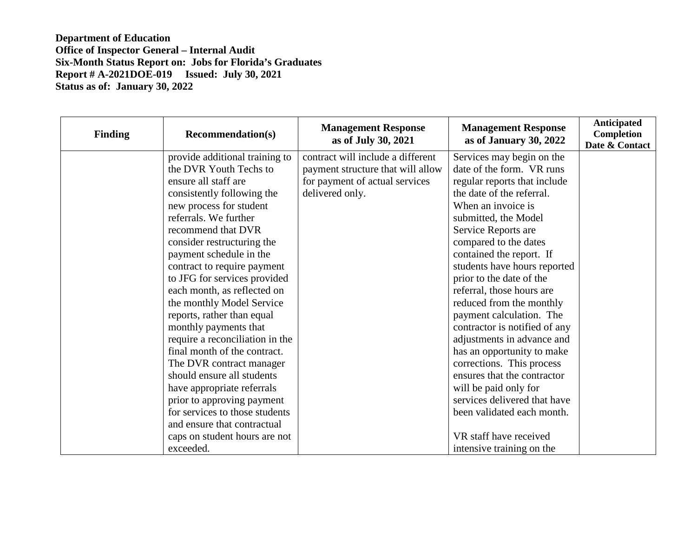| <b>Finding</b> | <b>Recommendation(s)</b>        | <b>Management Response</b><br>as of July 30, 2021 | <b>Management Response</b><br>as of January 30, 2022 | <b>Anticipated</b><br><b>Completion</b><br>Date & Contact |
|----------------|---------------------------------|---------------------------------------------------|------------------------------------------------------|-----------------------------------------------------------|
|                | provide additional training to  | contract will include a different                 | Services may begin on the                            |                                                           |
|                | the DVR Youth Techs to          | payment structure that will allow                 | date of the form. VR runs                            |                                                           |
|                | ensure all staff are            | for payment of actual services                    | regular reports that include                         |                                                           |
|                | consistently following the      | delivered only.                                   | the date of the referral.                            |                                                           |
|                | new process for student         |                                                   | When an invoice is                                   |                                                           |
|                | referrals. We further           |                                                   | submitted, the Model                                 |                                                           |
|                | recommend that DVR              |                                                   | Service Reports are                                  |                                                           |
|                | consider restructuring the      |                                                   | compared to the dates                                |                                                           |
|                | payment schedule in the         |                                                   | contained the report. If                             |                                                           |
|                | contract to require payment     |                                                   | students have hours reported                         |                                                           |
|                | to JFG for services provided    |                                                   | prior to the date of the                             |                                                           |
|                | each month, as reflected on     |                                                   | referral, those hours are                            |                                                           |
|                | the monthly Model Service       |                                                   | reduced from the monthly                             |                                                           |
|                | reports, rather than equal      |                                                   | payment calculation. The                             |                                                           |
|                | monthly payments that           |                                                   | contractor is notified of any                        |                                                           |
|                | require a reconciliation in the |                                                   | adjustments in advance and                           |                                                           |
|                | final month of the contract.    |                                                   | has an opportunity to make                           |                                                           |
|                | The DVR contract manager        |                                                   | corrections. This process                            |                                                           |
|                | should ensure all students      |                                                   | ensures that the contractor                          |                                                           |
|                | have appropriate referrals      |                                                   | will be paid only for                                |                                                           |
|                | prior to approving payment      |                                                   | services delivered that have                         |                                                           |
|                | for services to those students  |                                                   | been validated each month.                           |                                                           |
|                | and ensure that contractual     |                                                   |                                                      |                                                           |
|                | caps on student hours are not   |                                                   | VR staff have received                               |                                                           |
|                | exceeded.                       |                                                   | intensive training on the                            |                                                           |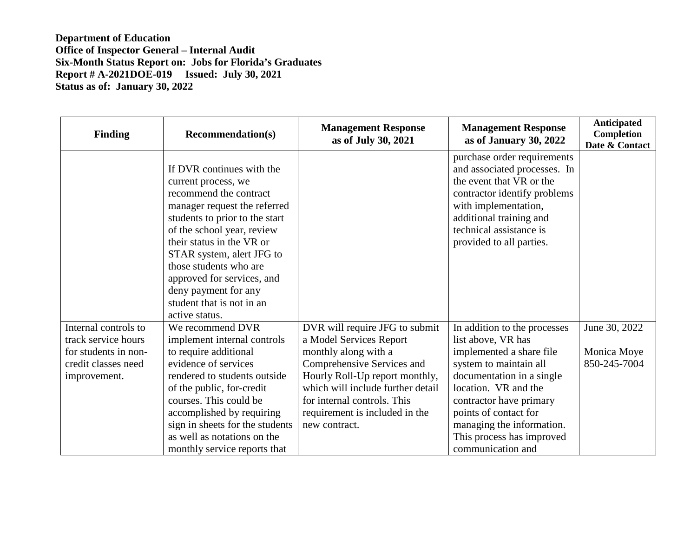| <b>Finding</b>                                                                                             | <b>Recommendation(s)</b>                                                                                                                                                                                                                                                                                                                                            | <b>Management Response</b><br>as of July 30, 2021                                                                                                                                                                                                                        | <b>Management Response</b><br>as of January 30, 2022                                                                                                                                                                                                                                             | <b>Anticipated</b><br>Completion<br>Date & Contact |
|------------------------------------------------------------------------------------------------------------|---------------------------------------------------------------------------------------------------------------------------------------------------------------------------------------------------------------------------------------------------------------------------------------------------------------------------------------------------------------------|--------------------------------------------------------------------------------------------------------------------------------------------------------------------------------------------------------------------------------------------------------------------------|--------------------------------------------------------------------------------------------------------------------------------------------------------------------------------------------------------------------------------------------------------------------------------------------------|----------------------------------------------------|
|                                                                                                            | If DVR continues with the<br>current process, we<br>recommend the contract<br>manager request the referred<br>students to prior to the start<br>of the school year, review<br>their status in the VR or<br>STAR system, alert JFG to<br>those students who are<br>approved for services, and<br>deny payment for any<br>student that is not in an<br>active status. |                                                                                                                                                                                                                                                                          | purchase order requirements<br>and associated processes. In<br>the event that VR or the<br>contractor identify problems<br>with implementation,<br>additional training and<br>technical assistance is<br>provided to all parties.                                                                |                                                    |
| Internal controls to<br>track service hours<br>for students in non-<br>credit classes need<br>improvement. | We recommend DVR<br>implement internal controls<br>to require additional<br>evidence of services<br>rendered to students outside<br>of the public, for-credit<br>courses. This could be<br>accomplished by requiring<br>sign in sheets for the students<br>as well as notations on the<br>monthly service reports that                                              | DVR will require JFG to submit<br>a Model Services Report<br>monthly along with a<br>Comprehensive Services and<br>Hourly Roll-Up report monthly,<br>which will include further detail<br>for internal controls. This<br>requirement is included in the<br>new contract. | In addition to the processes<br>list above, VR has<br>implemented a share file<br>system to maintain all<br>documentation in a single<br>location. VR and the<br>contractor have primary<br>points of contact for<br>managing the information.<br>This process has improved<br>communication and | June 30, 2022<br>Monica Moye<br>850-245-7004       |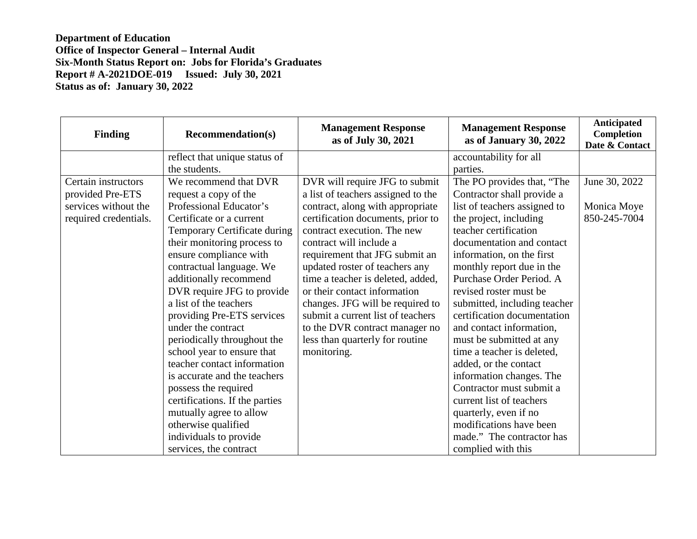| <b>Finding</b>        | <b>Recommendation(s)</b>       | <b>Management Response</b><br>as of July 30, 2021 | <b>Management Response</b><br>as of January 30, 2022 | <b>Anticipated</b><br><b>Completion</b><br>Date & Contact |
|-----------------------|--------------------------------|---------------------------------------------------|------------------------------------------------------|-----------------------------------------------------------|
|                       | reflect that unique status of  |                                                   | accountability for all                               |                                                           |
|                       | the students.                  |                                                   | parties.                                             |                                                           |
| Certain instructors   | We recommend that DVR          | DVR will require JFG to submit                    | The PO provides that, "The                           | June 30, 2022                                             |
| provided Pre-ETS      | request a copy of the          | a list of teachers assigned to the                | Contractor shall provide a                           |                                                           |
| services without the  | Professional Educator's        | contract, along with appropriate                  | list of teachers assigned to                         | Monica Moye                                               |
| required credentials. | Certificate or a current       | certification documents, prior to                 | the project, including                               | 850-245-7004                                              |
|                       | Temporary Certificate during   | contract execution. The new                       | teacher certification                                |                                                           |
|                       | their monitoring process to    | contract will include a                           | documentation and contact                            |                                                           |
|                       | ensure compliance with         | requirement that JFG submit an                    | information, on the first                            |                                                           |
|                       | contractual language. We       | updated roster of teachers any                    | monthly report due in the                            |                                                           |
|                       | additionally recommend         | time a teacher is deleted, added,                 | Purchase Order Period. A                             |                                                           |
|                       | DVR require JFG to provide     | or their contact information                      | revised roster must be                               |                                                           |
|                       | a list of the teachers         | changes. JFG will be required to                  | submitted, including teacher                         |                                                           |
|                       | providing Pre-ETS services     | submit a current list of teachers                 | certification documentation                          |                                                           |
|                       | under the contract             | to the DVR contract manager no                    | and contact information,                             |                                                           |
|                       | periodically throughout the    | less than quarterly for routine                   | must be submitted at any                             |                                                           |
|                       | school year to ensure that     | monitoring.                                       | time a teacher is deleted,                           |                                                           |
|                       | teacher contact information    |                                                   | added, or the contact                                |                                                           |
|                       | is accurate and the teachers   |                                                   | information changes. The                             |                                                           |
|                       | possess the required           |                                                   | Contractor must submit a                             |                                                           |
|                       | certifications. If the parties |                                                   | current list of teachers                             |                                                           |
|                       | mutually agree to allow        |                                                   | quarterly, even if no                                |                                                           |
|                       | otherwise qualified            |                                                   | modifications have been                              |                                                           |
|                       | individuals to provide         |                                                   | made." The contractor has                            |                                                           |
|                       | services, the contract         |                                                   | complied with this                                   |                                                           |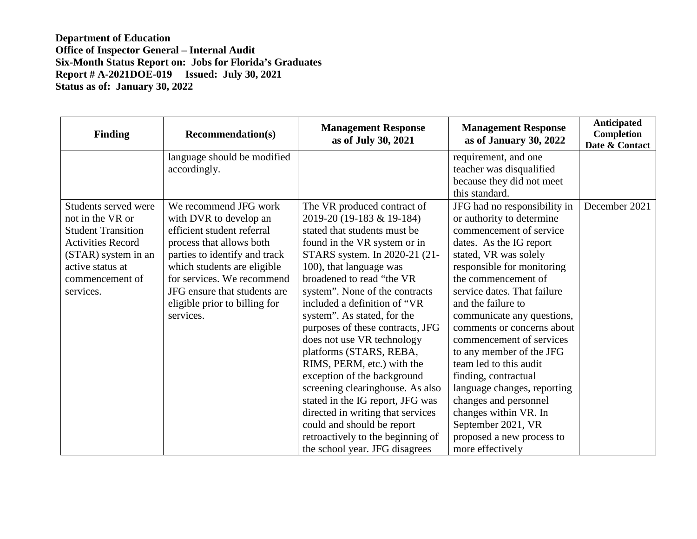| <b>Finding</b>            | <b>Recommendation(s)</b>      | <b>Management Response</b><br>as of July 30, 2021 | <b>Management Response</b><br>as of January 30, 2022 | <b>Anticipated</b><br>Completion<br>Date & Contact |
|---------------------------|-------------------------------|---------------------------------------------------|------------------------------------------------------|----------------------------------------------------|
|                           | language should be modified   |                                                   | requirement, and one                                 |                                                    |
|                           | accordingly.                  |                                                   | teacher was disqualified                             |                                                    |
|                           |                               |                                                   | because they did not meet                            |                                                    |
|                           |                               |                                                   | this standard.                                       |                                                    |
| Students served were      | We recommend JFG work         | The VR produced contract of                       | JFG had no responsibility in                         | December 2021                                      |
| not in the VR or          | with DVR to develop an        | 2019-20 (19-183 & 19-184)                         | or authority to determine                            |                                                    |
| <b>Student Transition</b> | efficient student referral    | stated that students must be                      | commencement of service                              |                                                    |
| <b>Activities Record</b>  | process that allows both      | found in the VR system or in                      | dates. As the IG report                              |                                                    |
| (STAR) system in an       | parties to identify and track | STARS system. In 2020-21 (21-                     | stated, VR was solely                                |                                                    |
| active status at          | which students are eligible   | 100), that language was                           | responsible for monitoring                           |                                                    |
| commencement of           | for services. We recommend    | broadened to read "the VR                         | the commencement of                                  |                                                    |
| services.                 | JFG ensure that students are  | system". None of the contracts                    | service dates. That failure                          |                                                    |
|                           | eligible prior to billing for | included a definition of "VR                      | and the failure to                                   |                                                    |
|                           | services.                     | system". As stated, for the                       | communicate any questions,                           |                                                    |
|                           |                               | purposes of these contracts, JFG                  | comments or concerns about                           |                                                    |
|                           |                               | does not use VR technology                        | commencement of services                             |                                                    |
|                           |                               | platforms (STARS, REBA,                           | to any member of the JFG                             |                                                    |
|                           |                               | RIMS, PERM, etc.) with the                        | team led to this audit                               |                                                    |
|                           |                               | exception of the background                       | finding, contractual                                 |                                                    |
|                           |                               | screening clearinghouse. As also                  | language changes, reporting                          |                                                    |
|                           |                               | stated in the IG report, JFG was                  | changes and personnel                                |                                                    |
|                           |                               | directed in writing that services                 | changes within VR. In                                |                                                    |
|                           |                               | could and should be report                        | September 2021, VR                                   |                                                    |
|                           |                               | retroactively to the beginning of                 | proposed a new process to                            |                                                    |
|                           |                               | the school year. JFG disagrees                    | more effectively                                     |                                                    |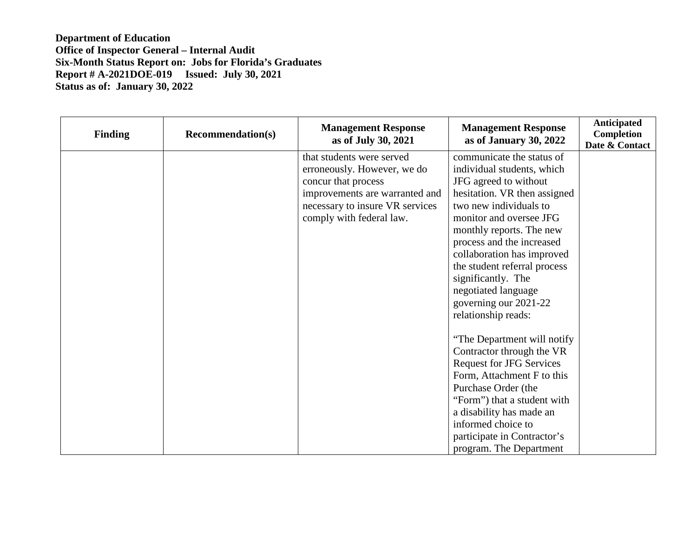| <b>Finding</b> | <b>Recommendation(s)</b> | <b>Management Response</b><br>as of July 30, 2021 | <b>Management Response</b><br>as of January 30, 2022 | Anticipated<br>Completion<br>Date & Contact |
|----------------|--------------------------|---------------------------------------------------|------------------------------------------------------|---------------------------------------------|
|                |                          | that students were served                         | communicate the status of                            |                                             |
|                |                          | erroneously. However, we do                       | individual students, which                           |                                             |
|                |                          | concur that process                               | JFG agreed to without                                |                                             |
|                |                          | improvements are warranted and                    | hesitation. VR then assigned                         |                                             |
|                |                          | necessary to insure VR services                   | two new individuals to                               |                                             |
|                |                          | comply with federal law.                          | monitor and oversee JFG                              |                                             |
|                |                          |                                                   | monthly reports. The new                             |                                             |
|                |                          |                                                   | process and the increased                            |                                             |
|                |                          |                                                   | collaboration has improved                           |                                             |
|                |                          |                                                   | the student referral process                         |                                             |
|                |                          |                                                   | significantly. The                                   |                                             |
|                |                          |                                                   | negotiated language                                  |                                             |
|                |                          |                                                   | governing our 2021-22                                |                                             |
|                |                          |                                                   | relationship reads:                                  |                                             |
|                |                          |                                                   | "The Department will notify"                         |                                             |
|                |                          |                                                   | Contractor through the VR                            |                                             |
|                |                          |                                                   | <b>Request for JFG Services</b>                      |                                             |
|                |                          |                                                   | Form, Attachment F to this                           |                                             |
|                |                          |                                                   | Purchase Order (the                                  |                                             |
|                |                          |                                                   | "Form") that a student with                          |                                             |
|                |                          |                                                   | a disability has made an                             |                                             |
|                |                          |                                                   | informed choice to                                   |                                             |
|                |                          |                                                   | participate in Contractor's                          |                                             |
|                |                          |                                                   | program. The Department                              |                                             |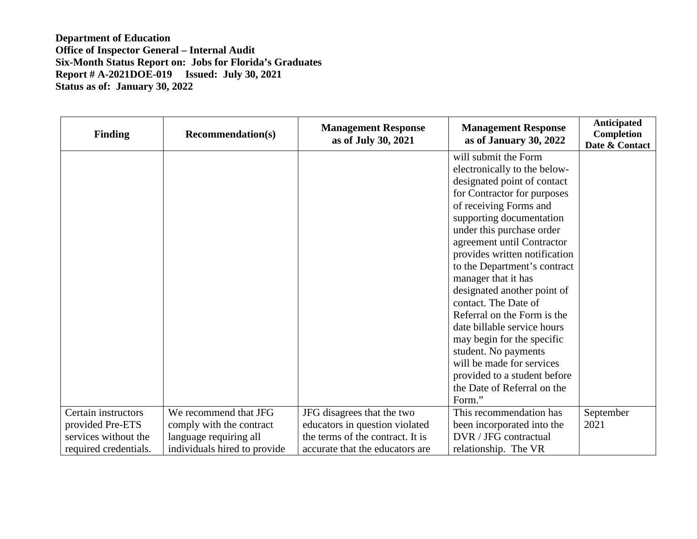| <b>Finding</b>        | <b>Recommendation(s)</b>     | <b>Management Response</b><br>as of July 30, 2021 | <b>Management Response</b><br>as of January 30, 2022 | <b>Anticipated</b><br><b>Completion</b><br>Date & Contact |
|-----------------------|------------------------------|---------------------------------------------------|------------------------------------------------------|-----------------------------------------------------------|
|                       |                              |                                                   | will submit the Form                                 |                                                           |
|                       |                              |                                                   | electronically to the below-                         |                                                           |
|                       |                              |                                                   | designated point of contact                          |                                                           |
|                       |                              |                                                   | for Contractor for purposes                          |                                                           |
|                       |                              |                                                   | of receiving Forms and                               |                                                           |
|                       |                              |                                                   | supporting documentation                             |                                                           |
|                       |                              |                                                   | under this purchase order                            |                                                           |
|                       |                              |                                                   | agreement until Contractor                           |                                                           |
|                       |                              |                                                   | provides written notification                        |                                                           |
|                       |                              |                                                   | to the Department's contract                         |                                                           |
|                       |                              |                                                   | manager that it has                                  |                                                           |
|                       |                              |                                                   | designated another point of                          |                                                           |
|                       |                              |                                                   | contact. The Date of                                 |                                                           |
|                       |                              |                                                   | Referral on the Form is the                          |                                                           |
|                       |                              |                                                   | date billable service hours                          |                                                           |
|                       |                              |                                                   | may begin for the specific                           |                                                           |
|                       |                              |                                                   | student. No payments                                 |                                                           |
|                       |                              |                                                   | will be made for services                            |                                                           |
|                       |                              |                                                   | provided to a student before                         |                                                           |
|                       |                              |                                                   | the Date of Referral on the                          |                                                           |
|                       |                              |                                                   | Form."                                               |                                                           |
| Certain instructors   | We recommend that JFG        | JFG disagrees that the two                        | This recommendation has                              | September                                                 |
| provided Pre-ETS      | comply with the contract     | educators in question violated                    | been incorporated into the                           | 2021                                                      |
| services without the  | language requiring all       | the terms of the contract. It is                  | DVR / JFG contractual                                |                                                           |
| required credentials. | individuals hired to provide | accurate that the educators are                   | relationship. The VR                                 |                                                           |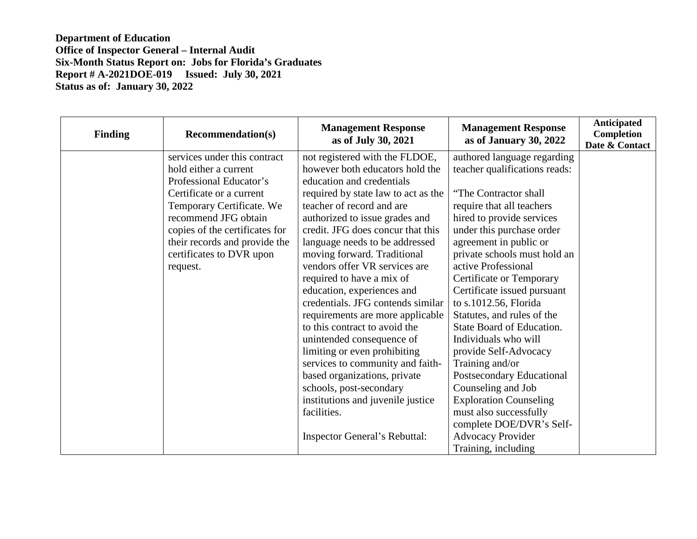| <b>Finding</b> | <b>Recommendation(s)</b>       | <b>Management Response</b><br>as of July 30, 2021 | <b>Management Response</b><br>as of January 30, 2022 | <b>Anticipated</b><br>Completion<br>Date & Contact |
|----------------|--------------------------------|---------------------------------------------------|------------------------------------------------------|----------------------------------------------------|
|                | services under this contract   | not registered with the FLDOE,                    | authored language regarding                          |                                                    |
|                | hold either a current          | however both educators hold the                   | teacher qualifications reads:                        |                                                    |
|                | Professional Educator's        | education and credentials                         |                                                      |                                                    |
|                | Certificate or a current       | required by state law to act as the               | "The Contractor shall                                |                                                    |
|                | Temporary Certificate. We      | teacher of record and are                         | require that all teachers                            |                                                    |
|                | recommend JFG obtain           | authorized to issue grades and                    | hired to provide services                            |                                                    |
|                | copies of the certificates for | credit. JFG does concur that this                 | under this purchase order                            |                                                    |
|                | their records and provide the  | language needs to be addressed                    | agreement in public or                               |                                                    |
|                | certificates to DVR upon       | moving forward. Traditional                       | private schools must hold an                         |                                                    |
|                | request.                       | vendors offer VR services are                     | active Professional                                  |                                                    |
|                |                                | required to have a mix of                         | Certificate or Temporary                             |                                                    |
|                |                                | education, experiences and                        | Certificate issued pursuant                          |                                                    |
|                |                                | credentials. JFG contends similar                 | to s.1012.56, Florida                                |                                                    |
|                |                                | requirements are more applicable                  | Statutes, and rules of the                           |                                                    |
|                |                                | to this contract to avoid the                     | State Board of Education.                            |                                                    |
|                |                                | unintended consequence of                         | Individuals who will                                 |                                                    |
|                |                                | limiting or even prohibiting                      | provide Self-Advocacy                                |                                                    |
|                |                                | services to community and faith-                  | Training and/or                                      |                                                    |
|                |                                | based organizations, private                      | Postsecondary Educational                            |                                                    |
|                |                                | schools, post-secondary                           | Counseling and Job                                   |                                                    |
|                |                                | institutions and juvenile justice                 | <b>Exploration Counseling</b>                        |                                                    |
|                |                                | facilities.                                       | must also successfully                               |                                                    |
|                |                                |                                                   | complete DOE/DVR's Self-                             |                                                    |
|                |                                | <b>Inspector General's Rebuttal:</b>              | <b>Advocacy Provider</b>                             |                                                    |
|                |                                |                                                   | Training, including                                  |                                                    |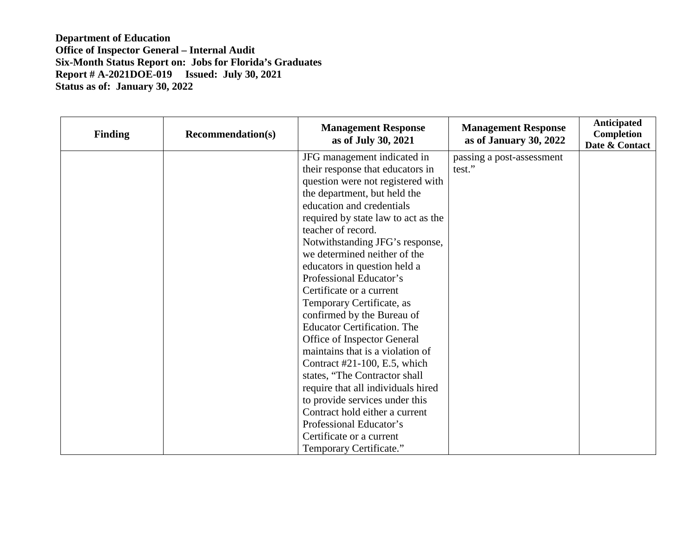| <b>Finding</b> | <b>Recommendation(s)</b> | <b>Management Response</b><br>as of July 30, 2021 | <b>Management Response</b><br>as of January 30, 2022 | <b>Anticipated</b><br>Completion<br>Date & Contact |
|----------------|--------------------------|---------------------------------------------------|------------------------------------------------------|----------------------------------------------------|
|                |                          | JFG management indicated in                       | passing a post-assessment                            |                                                    |
|                |                          | their response that educators in                  | test."                                               |                                                    |
|                |                          | question were not registered with                 |                                                      |                                                    |
|                |                          | the department, but held the                      |                                                      |                                                    |
|                |                          | education and credentials                         |                                                      |                                                    |
|                |                          | required by state law to act as the               |                                                      |                                                    |
|                |                          | teacher of record.                                |                                                      |                                                    |
|                |                          | Notwithstanding JFG's response,                   |                                                      |                                                    |
|                |                          | we determined neither of the                      |                                                      |                                                    |
|                |                          | educators in question held a                      |                                                      |                                                    |
|                |                          | Professional Educator's                           |                                                      |                                                    |
|                |                          | Certificate or a current                          |                                                      |                                                    |
|                |                          | Temporary Certificate, as                         |                                                      |                                                    |
|                |                          | confirmed by the Bureau of                        |                                                      |                                                    |
|                |                          | <b>Educator Certification. The</b>                |                                                      |                                                    |
|                |                          | Office of Inspector General                       |                                                      |                                                    |
|                |                          | maintains that is a violation of                  |                                                      |                                                    |
|                |                          | Contract $#21-100$ , E.5, which                   |                                                      |                                                    |
|                |                          | states, "The Contractor shall                     |                                                      |                                                    |
|                |                          | require that all individuals hired                |                                                      |                                                    |
|                |                          | to provide services under this                    |                                                      |                                                    |
|                |                          | Contract hold either a current                    |                                                      |                                                    |
|                |                          | Professional Educator's                           |                                                      |                                                    |
|                |                          | Certificate or a current                          |                                                      |                                                    |
|                |                          | Temporary Certificate."                           |                                                      |                                                    |